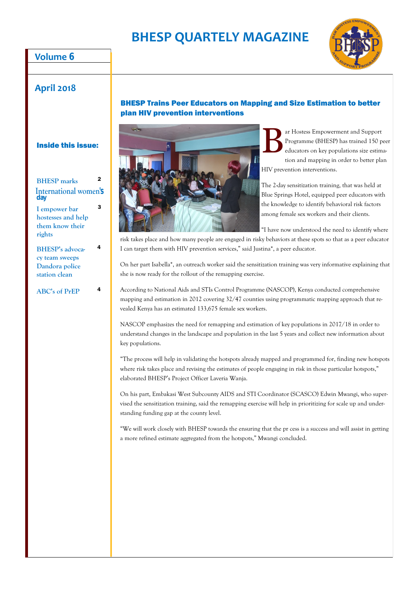# **BHESP QUARTELY MAGAZINE**

### **Volume 6**



### BHESP Trains Peer Educators on Mapping and Size Estimation to better plan HIV prevention interventions



B ar Hostess Empowerment and Support Programme (BHESP) has trained 150 peer educators on key populations size estimation and mapping in order to better plan HIV prevention interventions.

The 2-day sensitization training, that was held at Blue Springs Hotel, equipped peer educators with the knowledge to identify behavioral risk factors among female sex workers and their clients.

"I have now understood the need to identify where

risk takes place and how many people are engaged in risky behaviors at these spots so that as a peer educator I can target them with HIV prevention services," said Justina\*, a peer educator.

On her part Isabella\*, an outreach worker said the sensitization training was very informative explaining that she is now ready for the rollout of the remapping exercise.

According to National Aids and STIs Control Programme (NASCOP), Kenya conducted comprehensive mapping and estimation in 2012 covering 32/47 counties using programmatic mapping approach that revealed Kenya has an estimated 133,675 female sex workers.

NASCOP emphasizes the need for remapping and estimation of key populations in 2017/18 in order to understand changes in the landscape and population in the last 5 years and collect new information about key populations.

"The process will help in validating the hotspots already mapped and programmed for, finding new hotspots where risk takes place and revising the estimates of people engaging in risk in those particular hotspots," elaborated BHESP's Project Officer Laveria Wanja.

On his part, Embakasi West Subcounty AIDS and STI Coordinator (SCASCO) Edwin Mwangi, who supervised the sensitization training, said the remapping exercise will help in prioritizing for scale up and understanding funding gap at the county level.

"We will work closely with BHESP towards the ensuring that the pr cess is a success and will assist in getting a more refined estimate aggregated from the hotspots," Mwangi concluded.

#### Inside this issue:

| <b>BHESP</b> marks                  | 2 |
|-------------------------------------|---|
| <b>International women's</b><br>day |   |
| I empower bar                       | 3 |
| hostesses and help                  |   |
| them know their                     |   |

**BHESP's advocacy team sweeps Dandora police station clean**

4

**rights**

**ABC's of PrEP** <sup>4</sup>

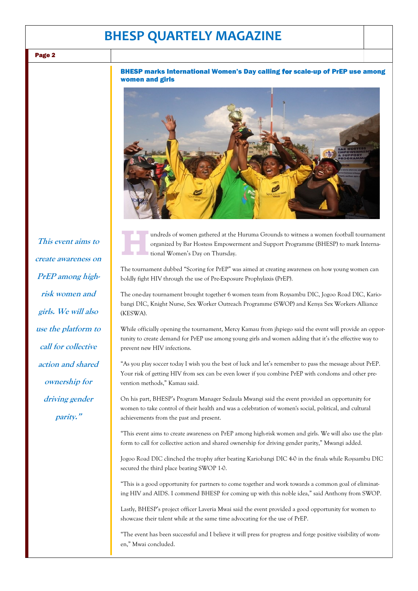## **BHESP QUARTELY MAGAZINE**

Page 2

#### BHESP marks International Women's Day calling for scale-up of PrEP use among women and girls



**H** undreds of women gathered at the Huruma Grounds to witness a women football tournament organized by Bar Hostess Empowerment and Support Programme (BHESP) to mark International Women's Day on Thursday.

The tournament dubbed "Scoring for PrEP" was aimed at creating awareness on how young women can boldly fight HIV through the use of Pre-Exposure Prophylaxis (PrEP).

The one-day tournament brought together 6 women team from Roysambu DIC, Jogoo Road DIC, Kariobangi DIC, Knight Nurse, Sex Worker Outreach Programme (SWOP) and Kenya Sex Workers Alliance (KESWA).

While officially opening the tournament, Mercy Kamau from jhpiego said the event will provide an opportunity to create demand for PrEP use among young girls and women adding that it's the effective way to prevent new HIV infections.

"As you play soccer today I wish you the best of luck and let's remember to pass the message about PrEP. Your risk of getting HIV from sex can be even lower if you combine PrEP with condoms and other prevention methods," Kamau said.

On his part, BHESP's Program Manager Sedaula Mwangi said the event provided an opportunity for women to take control of their health and was a celebration of women's social, political, and cultural achievements from the past and present.

"This event aims to create awareness on PrEP among high-risk women and girls. We will also use the platform to call for collective action and shared ownership for driving gender parity," Mwangi added.

Jogoo Road DIC clinched the trophy after beating Kariobangi DIC 4-0 in the finals while Roysambu DIC secured the third place beating SWOP 1-0.

"This is a good opportunity for partners to come together and work towards a common goal of eliminating HIV and AIDS. I commend BHESP for coming up with this noble idea," said Anthony from SWOP.

Lastly, BHESP's project officer Laveria Mwai said the event provided a good opportunity for women to showcase their talent while at the same time advocating for the use of PrEP.

"The event has been successful and I believe it will press for progress and forge positive visibility of women," Mwai concluded.

**This event aims to create awareness on PrEP among highrisk women and girls. We will also use the platform to call for collective action and shared ownership for driving gender parity."**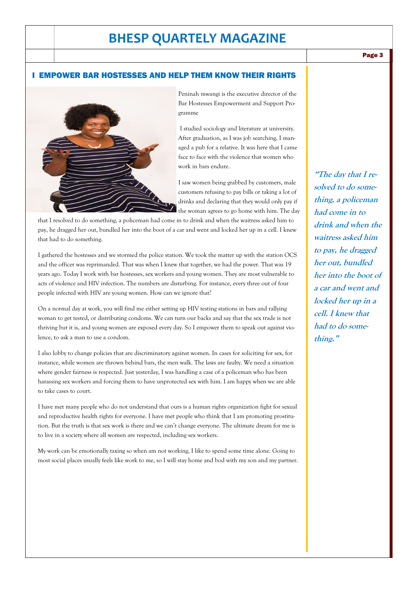## **BHESP QUARTELY MAGAZINE**

#### Page 3

#### I EMPOWER BAR HOSTESSES AND HELP THEM KNOW THEIR RIGHTS



Peninah mwangi is the executive director of the Bar Hostesses Empowerment and Support Programme

I studied sociology and literature at university. After graduation, as I was job searching, I managed a pub for a relative. It was here that I came face to face with the violence that women who work in bars endure.

I saw women being grabbed by customers, male customers refusing to pay bills or taking a lot of drinks and declaring that they would only pay if the woman agrees to go home with him. The day

that I resolved to do something, a policeman had come in to drink and when the waitress asked him to pay, he dragged her out, bundled her into the boot of a car and went and locked her up in a cell. I knew that had to do something.

I gathered the hostesses and we stormed the police station. We took the matter up with the station OCS and the officer was reprimanded. That was when I knew that together, we had the power. That was 19 years ago. Today I work with bar hostesses, sex workers and young women. They are most vulnerable to acts of violence and HIV infection. The numbers are disturbing. For instance, every three out of four people infected with HIV are young women. How can we ignore that?

On a normal day at work, you will find me either setting up HIV testing stations in bars and rallying woman to get tested, or distributing condoms. We can turn our backs and say that the sex trade is not thriving but it is, and young women are exposed every day. So I empower them to speak out against violence, to ask a man to use a condom.

I also lobby to change policies that are discriminatory against women. In cases for soliciting for sex, for instance, while women are thrown behind bars, the men walk. The laws are faulty. We need a situation where gender fairness is respected. Just yesterday, I was handling a case of a policeman who has been harassing sex workers and forcing them to have unprotected sex with him. I am happy when we are able to take cases to court.

I have met many people who do not understand that ours is a human rights organization fight for sexual and reproductive health rights for everyone. I have met people who think that I am promoting prostitution. But the truth is that sex work is there and we can't change everyone. The ultimate dream for me is to live in a society where all women are respected, including sex workers.

My work can be emotionally taxing so when am not working, I like to spend some time alone. Going to most social places usually feels like work to me, so I will stay home and bod with my son and my partner.

**"The day that I resolved to do something, a policeman had come in to drink and when the waitress asked him to pay, he dragged her out, bundled her into the boot of a car and went and locked her up in a cell. I knew that had to do something."**